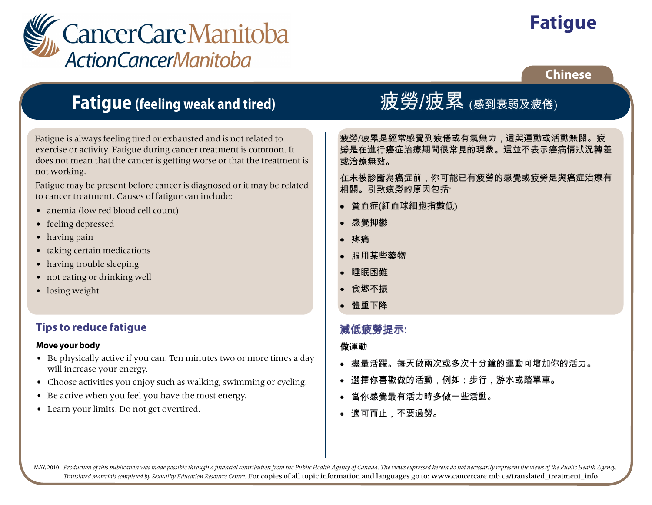

# **Fatigue**

## **Chinese**

# **Fatigue (feeling weak and tired)**

Fatigue is always feeling tired or exhausted and is not related to exercise or activity. Fatigue during cancer treatment is common. It does not mean that the cancer is getting worse or that the treatment is not working.

Fatigue may be present before cancer is diagnosed or it may be related to cancer treatment. Causes of fatigue can include:

- anemia (low red blood cell count)
- feeling depressed
- having pain
- taking certain medications
- having trouble sleeping
- not eating or drinking well
- losing weight

# **Tips to reduce fatigue**

### **Move your body**

- Be physically active if you can. Ten minutes two or more times a day will increase your energy.
- Choose activities you enjoy such as walking, swimming or cycling.
- Be active when you feel you have the most energy.
- Learn your limits. Do not get overtired.

# 疲勞/疲累 (感到衰弱及疲倦)

疲勞/疲累是經常感覺到疲倦或有氣無力,這與運動或活動無關。疲 勞是在進行癌症治療期間很常見的現象。這並不表示癌病情狀況轉差 或治療無效。

在未被診斷為癌症前,你可能已有疲勞的感覺或疲勞是與癌症治療有 相關。引致疲勞的原因包括:

- 貧血症(紅血球細胞指數低)
- 感覺抑鬱
- 疼痛
- 服用某些藥物
- 睡眠困難
- 食慾不振
- 體重下降

# 減低疲勞提示:

## 做運動

- 盡量活躍。每天做兩次或多次十分鐘的運動可增加你的活力。
- 選擇你喜歡做的活動,例如:步行,游水或踏單車。
- 當你感覺最有活力時多做一些活動。
- 適可而止,不要過勞。

MAY, 2010 Production of this publication was made possible through a financial contribution from the Public Health Agency of Canada. The views expressed herein do not necessarily represent the views of the Public Health Ag *Translated materials completed by Sexuality Education Resource Centre.* For copies of all topic information and languages go to: www.cancercare.mb.ca/translated\_treatment\_info